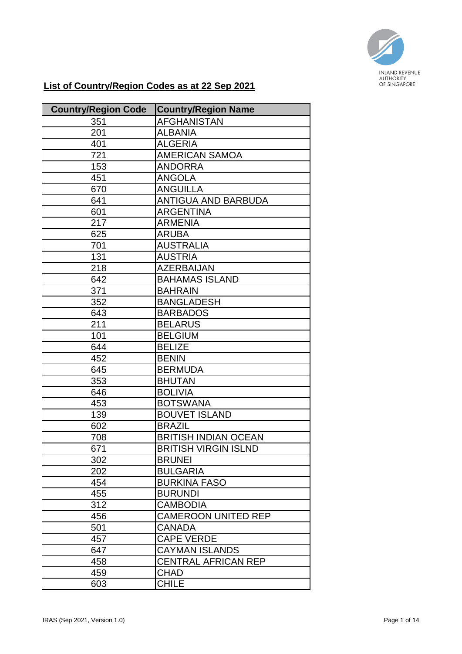

## **List of Country/Region Codes as at 22 Sep 2021**

| <b>Country/Region Code</b> | <b>Country/Region Name</b>  |
|----------------------------|-----------------------------|
| 351                        | <b>AFGHANISTAN</b>          |
| 201                        | <b>ALBANIA</b>              |
| 401                        | <b>ALGERIA</b>              |
| 721                        | <b>AMERICAN SAMOA</b>       |
| 153                        | <b>ANDORRA</b>              |
| 451                        | <b>ANGOLA</b>               |
| 670                        | <b>ANGUILLA</b>             |
| 641                        | <b>ANTIGUA AND BARBUDA</b>  |
| 601                        | <b>ARGENTINA</b>            |
| 217                        | <b>ARMENIA</b>              |
| 625                        | <b>ARUBA</b>                |
| 701                        | <b>AUSTRALIA</b>            |
| 131                        | <b>AUSTRIA</b>              |
| 218                        | <b>AZERBAIJAN</b>           |
| 642                        | <b>BAHAMAS ISLAND</b>       |
| 371                        | <b>BAHRAIN</b>              |
| 352                        | <b>BANGLADESH</b>           |
| 643                        | <b>BARBADOS</b>             |
| 211                        | <b>BELARUS</b>              |
| 101                        | <b>BELGIUM</b>              |
| 644                        | <b>BELIZE</b>               |
| 452                        | <b>BENIN</b>                |
| 645                        | <b>BERMUDA</b>              |
| 353                        | <b>BHUTAN</b>               |
| 646                        | <b>BOLIVIA</b>              |
| 453                        | <b>BOTSWANA</b>             |
| 139                        | <b>BOUVET ISLAND</b>        |
| 602                        | <b>BRAZIL</b>               |
| 708                        | <b>BRITISH INDIAN OCEAN</b> |
| 671                        | <b>BRITISH VIRGIN ISLND</b> |
| 302                        | <b>BRUNEI</b>               |
| 202                        | <b>BULGARIA</b>             |
| 454                        | <b>BURKINA FASO</b>         |
| 455                        | <b>BURUNDI</b>              |
| 312                        | <b>CAMBODIA</b>             |
| 456                        | <b>CAMEROON UNITED REP</b>  |
| 501                        | <b>CANADA</b>               |
| 457                        | <b>CAPE VERDE</b>           |
| 647                        | <b>CAYMAN ISLANDS</b>       |
| 458                        | <b>CENTRAL AFRICAN REP</b>  |
| 459                        | <b>CHAD</b>                 |
| 603                        | <b>CHILE</b>                |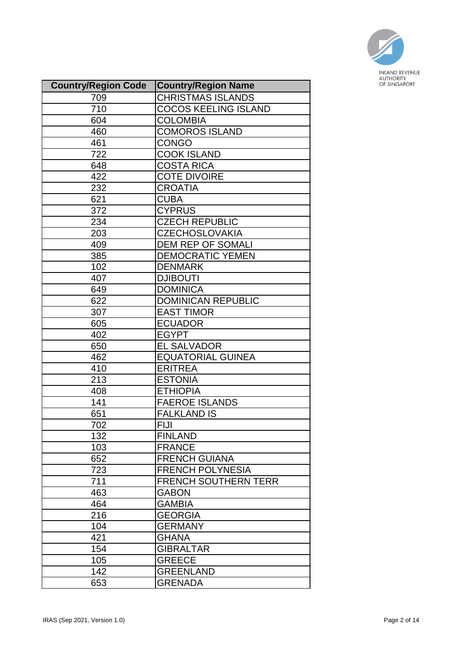

| <b>Country/Region Code</b> | <b>Country/Region Name</b>  |
|----------------------------|-----------------------------|
| 709                        | <b>CHRISTMAS ISLANDS</b>    |
| 710                        | <b>COCOS KEELING ISLAND</b> |
| 604                        | <b>COLOMBIA</b>             |
| 460                        | <b>COMOROS ISLAND</b>       |
| 461                        | <b>CONGO</b>                |
| 722                        | <b>COOK ISLAND</b>          |
| 648                        | <b>COSTA RICA</b>           |
| 422                        | <b>COTE DIVOIRE</b>         |
| 232                        | <b>CROATIA</b>              |
| 621                        | <b>CUBA</b>                 |
| 372                        | <b>CYPRUS</b>               |
| 234                        | <b>CZECH REPUBLIC</b>       |
| 203                        | <b>CZECHOSLOVAKIA</b>       |
| 409                        | <b>DEM REP OF SOMALI</b>    |
| 385                        | <b>DEMOCRATIC YEMEN</b>     |
| 102                        | <b>DENMARK</b>              |
| 407                        | <b>DJIBOUTI</b>             |
| 649                        | <b>DOMINICA</b>             |
| 622                        | <b>DOMINICAN REPUBLIC</b>   |
| 307                        | <b>EAST TIMOR</b>           |
| 605                        | <b>ECUADOR</b>              |
| 402                        | <b>EGYPT</b>                |
| 650                        | <b>EL SALVADOR</b>          |
| 462                        | <b>EQUATORIAL GUINEA</b>    |
| 410                        | <b>ERITREA</b>              |
| 213                        | <b>ESTONIA</b>              |
| 408                        | <b>ETHIOPIA</b>             |
| 141                        | <b>FAEROE ISLANDS</b>       |
| 651                        | <b>FALKLAND IS</b>          |
| 702                        | <b>FIJI</b>                 |
| 132                        | <b>FINLAND</b>              |
| 103                        | <b>FRANCE</b>               |
| 652                        | <b>FRENCH GUIANA</b>        |
| 723                        | <b>FRENCH POLYNESIA</b>     |
| 711                        | <b>FRENCH SOUTHERN TERR</b> |
| 463                        | <b>GABON</b>                |
| 464                        | <b>GAMBIA</b>               |
| 216                        | <b>GEORGIA</b>              |
| 104                        | <b>GERMANY</b>              |
| 421                        | <b>GHANA</b>                |
| 154                        | <b>GIBRALTAR</b>            |
| 105                        | <b>GREECE</b>               |
| 142                        | <b>GREENLAND</b>            |
| 653                        | <b>GRENADA</b>              |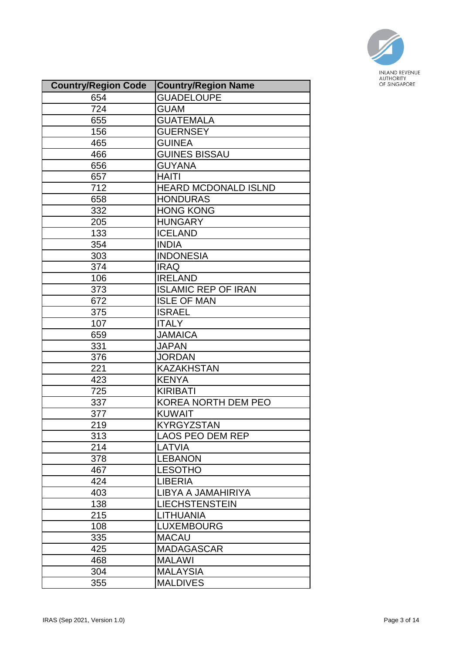

| <b>Country/Region Code</b> | <b>Country/Region Name</b>  |
|----------------------------|-----------------------------|
| 654                        | <b>GUADELOUPE</b>           |
| 724                        | <b>GUAM</b>                 |
| 655                        | <b>GUATEMALA</b>            |
| 156                        | <b>GUERNSEY</b>             |
| 465                        | <b>GUINEA</b>               |
| 466                        | <b>GUINES BISSAU</b>        |
| 656                        | <b>GUYANA</b>               |
| 657                        | <b>HAITI</b>                |
| 712                        | <b>HEARD MCDONALD ISLND</b> |
| 658                        | <b>HONDURAS</b>             |
| 332                        | <b>HONG KONG</b>            |
| 205                        | <b>HUNGARY</b>              |
| 133                        | <b>ICELAND</b>              |
| 354                        | <b>INDIA</b>                |
| 303                        | <b>INDONESIA</b>            |
| 374                        | <b>IRAQ</b>                 |
| 106                        | <b>IRELAND</b>              |
| 373                        | <b>ISLAMIC REP OF IRAN</b>  |
| 672                        | <b>ISLE OF MAN</b>          |
| 375                        | <b>ISRAEL</b>               |
| 107                        | <b>ITALY</b>                |
| 659                        | <b>JAMAICA</b>              |
| 331                        | <b>JAPAN</b>                |
| 376                        | <b>JORDAN</b>               |
| 221                        | <b>KAZAKHSTAN</b>           |
| 423                        | <b>KENYA</b>                |
| 725                        | <b>KIRIBATI</b>             |
| 337                        | KOREA NORTH DEM PEO         |
| 377                        | <b>KUWAIT</b>               |
| 219                        | <b>KYRGYZSTAN</b>           |
| 313                        | <b>LAOS PEO DEM REP</b>     |
| 214                        | LATVIA                      |
| 378                        | <b>LEBANON</b>              |
| 467                        | <b>LESOTHO</b>              |
| 424                        | <b>LIBERIA</b>              |
| 403                        | LIBYA A JAMAHIRIYA          |
| 138                        | <b>LIECHSTENSTEIN</b>       |
| 215                        | <b>LITHUANIA</b>            |
| 108                        | <b>LUXEMBOURG</b>           |
| 335                        | <b>MACAU</b>                |
| 425                        | <b>MADAGASCAR</b>           |
| 468                        | <b>MALAWI</b>               |
| 304                        | <b>MALAYSIA</b>             |
| 355                        | <b>MALDIVES</b>             |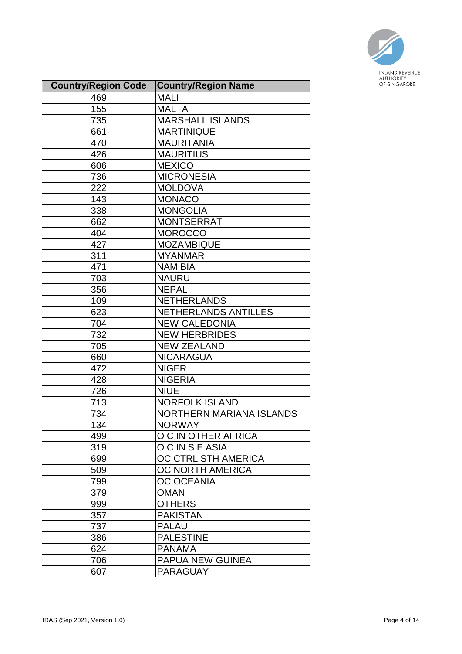

| <b>Country/Region Code</b> | <b>Country/Region Name</b>      |
|----------------------------|---------------------------------|
| 469                        | <b>MALI</b>                     |
| 155                        | <b>MALTA</b>                    |
| 735                        | <b>MARSHALL ISLANDS</b>         |
| 661                        | <b>MARTINIQUE</b>               |
| 470                        | <b>MAURITANIA</b>               |
| 426                        | <b>MAURITIUS</b>                |
| 606                        | <b>MEXICO</b>                   |
| 736                        | <b>MICRONESIA</b>               |
| 222                        | <b>MOLDOVA</b>                  |
| 143                        | <b>MONACO</b>                   |
| 338                        | <b>MONGOLIA</b>                 |
| 662                        | <b>MONTSERRAT</b>               |
| 404                        | <b>MOROCCO</b>                  |
| 427                        | <b>MOZAMBIQUE</b>               |
| 311                        | <b>MYANMAR</b>                  |
| 471                        | <b>NAMIBIA</b>                  |
| 703                        | <b>NAURU</b>                    |
| 356                        | <b>NEPAL</b>                    |
| 109                        | <b>NETHERLANDS</b>              |
| 623                        | NETHERLANDS ANTILLES            |
| 704                        | <b>NEW CALEDONIA</b>            |
| 732                        | <b>NEW HERBRIDES</b>            |
| 705                        | <b>NEW ZEALAND</b>              |
| 660                        | <b>NICARAGUA</b>                |
| 472                        | <b>NIGER</b>                    |
| 428                        | <b>NIGERIA</b>                  |
| 726                        | <b>NIUE</b>                     |
| 713                        | <b>NORFOLK ISLAND</b>           |
| 734                        | <b>NORTHERN MARIANA ISLANDS</b> |
| 134                        | <b>NORWAY</b>                   |
| 499                        | O C IN OTHER AFRICA             |
| 319                        | OCINSEASIA                      |
| 699                        | OC CTRL STH AMERICA             |
| 509                        | OC NORTH AMERICA                |
| 799                        | <b>OC OCEANIA</b>               |
| 379                        | <b>OMAN</b>                     |
| 999                        | <b>OTHERS</b>                   |
| 357                        | <b>PAKISTAN</b>                 |
| 737                        | <b>PALAU</b>                    |
| 386                        | <b>PALESTINE</b>                |
| 624                        | <b>PANAMA</b>                   |
| 706                        | <b>PAPUA NEW GUINEA</b>         |
| 607                        | <b>PARAGUAY</b>                 |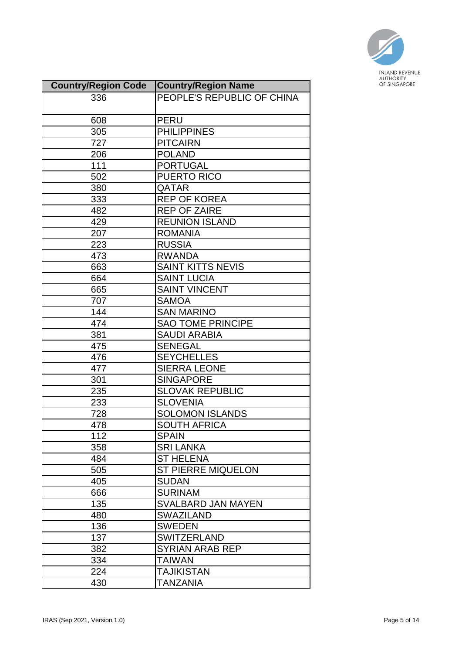

| <b>Country/Region Code</b> | <b>Country/Region Name</b> |
|----------------------------|----------------------------|
| 336                        | PEOPLE'S REPUBLIC OF CHINA |
|                            |                            |
| 608                        | <b>PERU</b>                |
| 305                        | <b>PHILIPPINES</b>         |
| 727                        | <b>PITCAIRN</b>            |
| 206                        | <b>POLAND</b>              |
| 111                        | <b>PORTUGAL</b>            |
| 502                        | <b>PUERTO RICO</b>         |
| 380                        | QATAR                      |
| 333                        | <b>REP OF KOREA</b>        |
| 482                        | <b>REP OF ZAIRE</b>        |
| 429                        | <b>REUNION ISLAND</b>      |
| 207                        | <b>ROMANIA</b>             |
| 223                        | <b>RUSSIA</b>              |
| 473                        | <b>RWANDA</b>              |
| 663                        | <b>SAINT KITTS NEVIS</b>   |
| 664                        | <b>SAINT LUCIA</b>         |
| 665                        | <b>SAINT VINCENT</b>       |
| 707                        | <b>SAMOA</b>               |
| 144                        | <b>SAN MARINO</b>          |
| 474                        | <b>SAO TOME PRINCIPE</b>   |
| 381                        | <b>SAUDI ARABIA</b>        |
| 475                        | <b>SENEGAL</b>             |
| 476                        | <b>SEYCHELLES</b>          |
| 477                        | <b>SIERRA LEONE</b>        |
| 301                        | <b>SINGAPORE</b>           |
| 235                        | <b>SLOVAK REPUBLIC</b>     |
| 233                        | <b>SLOVENIA</b>            |
| 728                        | <b>SOLOMON ISLANDS</b>     |
| 478                        | <b>SOUTH AFRICA</b>        |
| 112                        | <b>SPAIN</b>               |
| 358                        | <b>SRI LANKA</b>           |
| 484                        | <b>ST HELENA</b>           |
| 505                        | <b>ST PIERRE MIQUELON</b>  |
| 405                        | <b>SUDAN</b>               |
| 666                        | <b>SURINAM</b>             |
| 135                        | <b>SVALBARD JAN MAYEN</b>  |
| 480                        | <b>SWAZILAND</b>           |
| 136                        | <b>SWEDEN</b>              |
| 137                        | <b>SWITZERLAND</b>         |
| 382                        | <b>SYRIAN ARAB REP</b>     |
| 334                        | TAIWAN                     |
| 224                        | TAJIKISTAN                 |
| 430                        | <b>TANZANIA</b>            |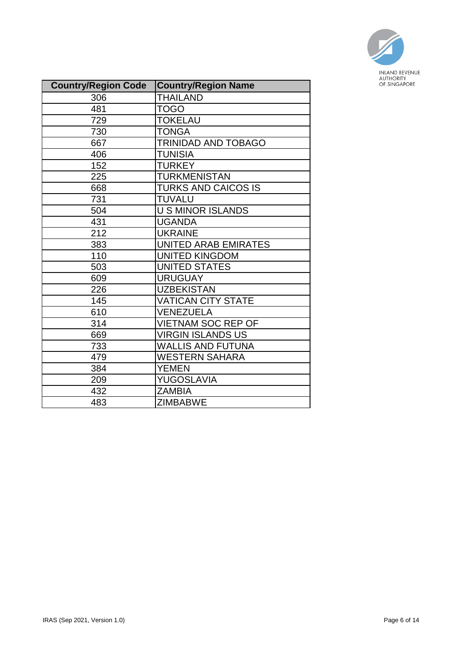

| <b>Country/Region Code</b> | <b>Country/Region Name</b>  |
|----------------------------|-----------------------------|
| 306                        | <b>THAILAND</b>             |
| 481                        | <b>TOGO</b>                 |
| 729                        | <b>TOKELAU</b>              |
| 730                        | <b>TONGA</b>                |
| 667                        | TRINIDAD AND TOBAGO         |
| 406                        | <b>TUNISIA</b>              |
| 152                        | <b>TURKEY</b>               |
| 225                        | <b>TURKMENISTAN</b>         |
| 668                        | <b>TURKS AND CAICOS IS</b>  |
| 731                        | <b>TUVALU</b>               |
| 504                        | <b>U S MINOR ISLANDS</b>    |
| 431                        | <b>UGANDA</b>               |
| 212                        | <b>UKRAINE</b>              |
| 383                        | <b>UNITED ARAB EMIRATES</b> |
| 110                        | <b>UNITED KINGDOM</b>       |
| 503                        | <b>UNITED STATES</b>        |
| 609                        | <b>URUGUAY</b>              |
| 226                        | <b>UZBEKISTAN</b>           |
| 145                        | <b>VATICAN CITY STATE</b>   |
| 610                        | VENEZUELA                   |
| 314                        | <b>VIETNAM SOC REP OF</b>   |
| 669                        | <b>VIRGIN ISLANDS US</b>    |
| 733                        | <b>WALLIS AND FUTUNA</b>    |
| 479                        | <b>WESTERN SAHARA</b>       |
| 384                        | <b>YEMEN</b>                |
| 209                        | YUGOSLAVIA                  |
| 432                        | <b>ZAMBIA</b>               |
| 483                        | <b>ZIMBABWE</b>             |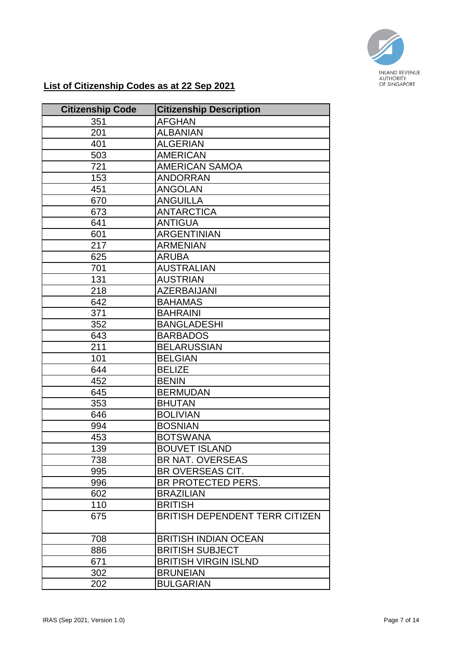

## **List of Citizenship Codes as at 22 Sep 2021**

| <b>Citizenship Code</b> | <b>Citizenship Description</b>        |
|-------------------------|---------------------------------------|
| 351                     | <b>AFGHAN</b>                         |
| 201                     | <b>ALBANIAN</b>                       |
| 401                     | <b>ALGERIAN</b>                       |
| 503                     | <b>AMERICAN</b>                       |
| 721                     | <b>AMERICAN SAMOA</b>                 |
| 153                     | <b>ANDORRAN</b>                       |
| 451                     | <b>ANGOLAN</b>                        |
| 670                     | <b>ANGUILLA</b>                       |
| 673                     | <b>ANTARCTICA</b>                     |
| 641                     | <b>ANTIGUA</b>                        |
| 601                     | <b>ARGENTINIAN</b>                    |
| 217                     | <b>ARMENIAN</b>                       |
| 625                     | <b>ARUBA</b>                          |
| 701                     | <b>AUSTRALIAN</b>                     |
| 131                     | <b>AUSTRIAN</b>                       |
| 218                     | <b>AZERBAIJANI</b>                    |
| 642                     | <b>BAHAMAS</b>                        |
| 371                     | <b>BAHRAINI</b>                       |
| 352                     | <b>BANGLADESHI</b>                    |
| 643                     | <b>BARBADOS</b>                       |
| 211                     | <b>BELARUSSIAN</b>                    |
| 101                     | <b>BELGIAN</b>                        |
| 644                     | <b>BELIZE</b>                         |
| 452                     | <b>BENIN</b>                          |
| 645                     | <b>BERMUDAN</b>                       |
| 353                     | <b>BHUTAN</b>                         |
| 646                     | <b>BOLIVIAN</b>                       |
| 994                     | <b>BOSNIAN</b>                        |
| 453                     | <b>BOTSWANA</b>                       |
| 139                     | <b>BOUVET ISLAND</b>                  |
| 738                     | <b>BR NAT. OVERSEAS</b>               |
| 995                     | BR OVERSEAS CIT.                      |
| 996                     | BR PROTECTED PERS.                    |
| 602                     | <b>BRAZILIAN</b>                      |
| 110                     | <b>BRITISH</b>                        |
| 675                     | <b>BRITISH DEPENDENT TERR CITIZEN</b> |
| 708                     | <b>BRITISH INDIAN OCEAN</b>           |
| 886                     | <b>BRITISH SUBJECT</b>                |
| 671                     | <b>BRITISH VIRGIN ISLND</b>           |
| 302                     | <b>BRUNEIAN</b>                       |
| 202                     | <b>BULGARIAN</b>                      |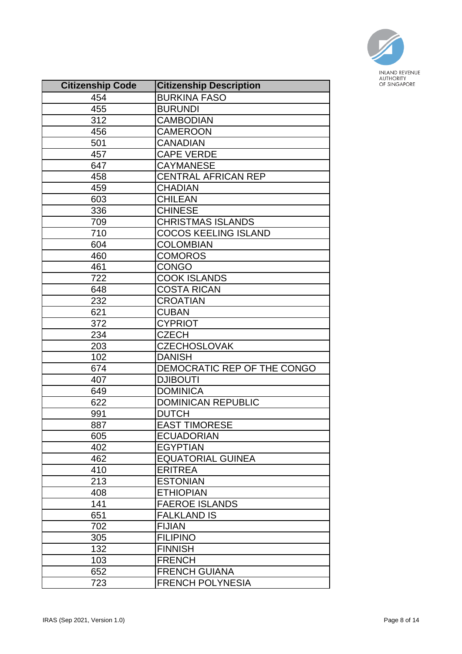

| <b>Citizenship Code</b> | <b>Citizenship Description</b> |
|-------------------------|--------------------------------|
| 454                     | <b>BURKINA FASO</b>            |
| 455                     | <b>BURUNDI</b>                 |
| 312                     | <b>CAMBODIAN</b>               |
| 456                     | <b>CAMEROON</b>                |
| 501                     | <b>CANADIAN</b>                |
| 457                     | <b>CAPE VERDE</b>              |
| 647                     | <b>CAYMANESE</b>               |
| 458                     | <b>CENTRAL AFRICAN REP</b>     |
| 459                     | <b>CHADIAN</b>                 |
| 603                     | <b>CHILEAN</b>                 |
| 336                     | <b>CHINESE</b>                 |
| 709                     | <b>CHRISTMAS ISLANDS</b>       |
| 710                     | <b>COCOS KEELING ISLAND</b>    |
| 604                     | <b>COLOMBIAN</b>               |
| 460                     | <b>COMOROS</b>                 |
| 461                     | <b>CONGO</b>                   |
| 722                     | <b>COOK ISLANDS</b>            |
| 648                     | <b>COSTA RICAN</b>             |
| 232                     | <b>CROATIAN</b>                |
| 621                     | <b>CUBAN</b>                   |
| 372                     | <b>CYPRIOT</b>                 |
| 234                     | <b>CZECH</b>                   |
| 203                     | <b>CZECHOSLOVAK</b>            |
| 102                     | <b>DANISH</b>                  |
| 674                     | DEMOCRATIC REP OF THE CONGO    |
| 407                     | <b>DJIBOUTI</b>                |
| 649                     | <b>DOMINICA</b>                |
| 622                     | <b>DOMINICAN REPUBLIC</b>      |
| 991                     | <b>DUTCH</b>                   |
| 887                     | <b>EAST TIMORESE</b>           |
| 605                     | <b>ECUADORIAN</b>              |
| 402                     | <b>EGYPTIAN</b>                |
| 462                     | <b>EQUATORIAL GUINEA</b>       |
| 410                     | <b>ERITREA</b>                 |
| 213                     | <b>ESTONIAN</b>                |
| 408                     | <b>ETHIOPIAN</b>               |
| 141                     | <b>FAEROE ISLANDS</b>          |
| 651                     | <b>FALKLAND IS</b>             |
| 702                     | <b>FIJIAN</b>                  |
| 305                     | <b>FILIPINO</b>                |
| 132                     | <b>FINNISH</b>                 |
| 103                     | <b>FRENCH</b>                  |
| 652                     | <b>FRENCH GUIANA</b>           |
| 723                     | <b>FRENCH POLYNESIA</b>        |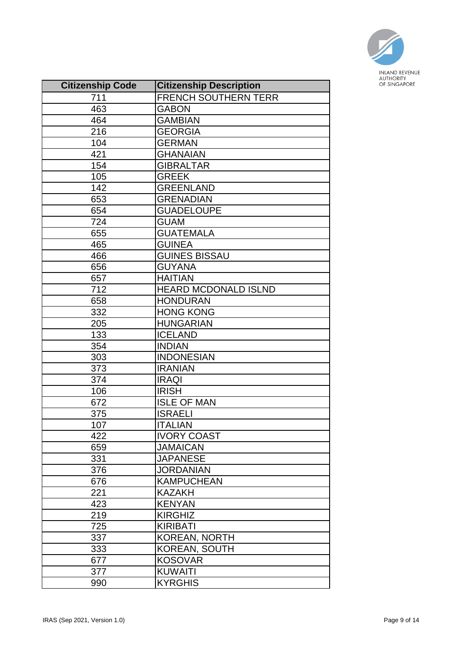

| <b>Citizenship Code</b> | <b>Citizenship Description</b> |  |
|-------------------------|--------------------------------|--|
| 711                     | <b>FRENCH SOUTHERN TERR</b>    |  |
| 463                     | <b>GABON</b>                   |  |
| 464                     | <b>GAMBIAN</b>                 |  |
| 216                     | <b>GEORGIA</b>                 |  |
| 104                     | <b>GERMAN</b>                  |  |
| 421                     | <b>GHANAIAN</b>                |  |
| 154                     | <b>GIBRALTAR</b>               |  |
| 105                     | <b>GREEK</b>                   |  |
| 142                     | <b>GREENLAND</b>               |  |
| 653                     | <b>GRENADIAN</b>               |  |
| 654                     | <b>GUADELOUPE</b>              |  |
| 724                     | <b>GUAM</b>                    |  |
| 655                     | <b>GUATEMALA</b>               |  |
| 465                     | <b>GUINEA</b>                  |  |
| 466                     | <b>GUINES BISSAU</b>           |  |
| 656                     | <b>GUYANA</b>                  |  |
| 657                     | <b>HAITIAN</b>                 |  |
| 712                     | <b>HEARD MCDONALD ISLND</b>    |  |
| 658                     | <b>HONDURAN</b>                |  |
| 332                     | <b>HONG KONG</b>               |  |
| 205                     | <b>HUNGARIAN</b>               |  |
| 133                     | <b>ICELAND</b>                 |  |
| 354                     | <b>INDIAN</b>                  |  |
| 303                     | <b>INDONESIAN</b>              |  |
| 373                     | <b>IRANIAN</b>                 |  |
| 374                     | <b>IRAQI</b>                   |  |
| 106                     | <b>IRISH</b>                   |  |
| 672                     | <b>ISLE OF MAN</b>             |  |
| 375                     | <b>ISRAELI</b>                 |  |
| 107                     | <b>ITALIAN</b>                 |  |
| 422                     | <b>IVORY COAST</b>             |  |
| 659                     | <b>JAMAICAN</b>                |  |
| 331                     | <b>JAPANESE</b>                |  |
| 376                     | <b>JORDANIAN</b>               |  |
| 676                     | <b>KAMPUCHEAN</b>              |  |
| 221                     | <b>KAZAKH</b>                  |  |
| 423                     | <b>KENYAN</b>                  |  |
| 219                     | <b>KIRGHIZ</b>                 |  |
| 725                     | <b>KIRIBATI</b>                |  |
| 337                     | <b>KOREAN, NORTH</b>           |  |
| 333                     | KOREAN, SOUTH                  |  |
| 677                     | <b>KOSOVAR</b>                 |  |
| 377                     | <b>KUWAITI</b>                 |  |
| 990                     | <b>KYRGHIS</b>                 |  |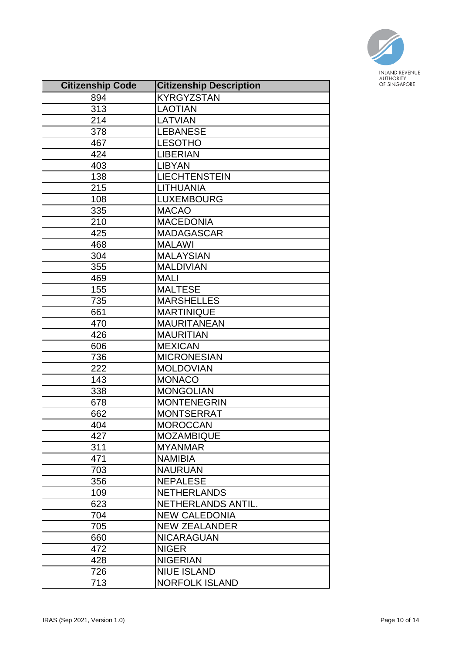

| <b>Citizenship Code</b> | <b>Citizenship Description</b> |
|-------------------------|--------------------------------|
| 894                     | <b>KYRGYZSTAN</b>              |
| 313                     | <b>LAOTIAN</b>                 |
| 214                     | <b>LATVIAN</b>                 |
| 378                     | <b>LEBANESE</b>                |
| 467                     | <b>LESOTHO</b>                 |
| 424                     | <b>LIBERIAN</b>                |
| 403                     | <b>LIBYAN</b>                  |
| 138                     | <b>LIECHTENSTEIN</b>           |
| 215                     | <b>LITHUANIA</b>               |
| 108                     | <b>LUXEMBOURG</b>              |
| 335                     | <b>MACAO</b>                   |
| 210                     | <b>MACEDONIA</b>               |
| 425                     | <b>MADAGASCAR</b>              |
| 468                     | <b>MALAWI</b>                  |
| 304                     | <b>MALAYSIAN</b>               |
| 355                     | <b>MALDIVIAN</b>               |
| 469                     | <b>MALI</b>                    |
| 155                     | <b>MALTESE</b>                 |
| 735                     | <b>MARSHELLES</b>              |
| 661                     | <b>MARTINIQUE</b>              |
| 470                     | <b>MAURITANEAN</b>             |
| 426                     | <b>MAURITIAN</b>               |
| 606                     | <b>MEXICAN</b>                 |
| 736                     | <b>MICRONESIAN</b>             |
| 222                     | <b>MOLDOVIAN</b>               |
| 143                     | <b>MONACO</b>                  |
| 338                     | <b>MONGOLIAN</b>               |
| 678                     | <b>MONTENEGRIN</b>             |
| 662                     | <b>MONTSERRAT</b>              |
| 404                     | <b>MOROCCAN</b>                |
| 427                     | <b>MOZAMBIQUE</b>              |
| 311                     | <b>MYANMAR</b>                 |
| 471                     | <b>NAMIBIA</b>                 |
| 703                     | <b>NAURUAN</b>                 |
| 356                     | <b>NEPALESE</b>                |
| 109                     | <b>NETHERLANDS</b>             |
| 623                     | NETHERLANDS ANTIL.             |
| 704                     | <b>NEW CALEDONIA</b>           |
| 705                     | <b>NEW ZEALANDER</b>           |
| 660                     | <b>NICARAGUAN</b>              |
| 472                     | <b>NIGER</b>                   |
| 428                     | <b>NIGERIAN</b>                |
| 726                     | <b>NIUE ISLAND</b>             |
| 713                     | <b>NORFOLK ISLAND</b>          |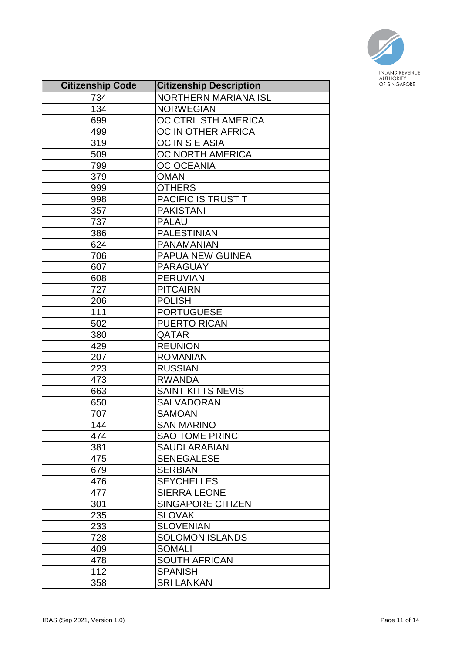

| <b>Citizenship Code</b> | <b>Citizenship Description</b> |
|-------------------------|--------------------------------|
| 734                     | <b>NORTHERN MARIANA ISL</b>    |
| 134                     | <b>NORWEGIAN</b>               |
| 699                     | OC CTRL STH AMERICA            |
| 499                     | OC IN OTHER AFRICA             |
| 319                     | OC IN S E ASIA                 |
| 509                     | OC NORTH AMERICA               |
| 799                     | <b>OC OCEANIA</b>              |
| 379                     | <b>OMAN</b>                    |
| 999                     | <b>OTHERS</b>                  |
| 998                     | PACIFIC IS TRUST T             |
| 357                     | <b>PAKISTANI</b>               |
| 737                     | <b>PALAU</b>                   |
| 386                     | <b>PALESTINIAN</b>             |
| 624                     | <b>PANAMANIAN</b>              |
| 706                     | <b>PAPUA NEW GUINEA</b>        |
| 607                     | <b>PARAGUAY</b>                |
| 608                     | <b>PERUVIAN</b>                |
| 727                     | <b>PITCAIRN</b>                |
| 206                     | <b>POLISH</b>                  |
| 111                     | <b>PORTUGUESE</b>              |
| 502                     | <b>PUERTO RICAN</b>            |
| 380                     | QATAR                          |
| 429                     | <b>REUNION</b>                 |
| 207                     | <b>ROMANIAN</b>                |
| 223                     | <b>RUSSIAN</b>                 |
| 473                     | <b>RWANDA</b>                  |
| 663                     | <b>SAINT KITTS NEVIS</b>       |
| 650                     | SALVADORAN                     |
| 707                     | <b>SAMOAN</b>                  |
| 144                     | <b>SAN MARINO</b>              |
| 474                     | <b>SAO TOME PRINCI</b>         |
| 381                     | <b>SAUDI ARABIAN</b>           |
| 475                     | <b>SENEGALESE</b>              |
| 679                     | <b>SERBIAN</b>                 |
| 476                     | <b>SEYCHELLES</b>              |
| 477                     | <b>SIERRA LEONE</b>            |
| 301                     | <b>SINGAPORE CITIZEN</b>       |
| 235                     | <b>SLOVAK</b>                  |
| 233                     | <b>SLOVENIAN</b>               |
| 728                     | <b>SOLOMON ISLANDS</b>         |
| 409                     | <b>SOMALI</b>                  |
| 478                     | <b>SOUTH AFRICAN</b>           |
| 112                     | <b>SPANISH</b>                 |
| 358                     | <b>SRI LANKAN</b>              |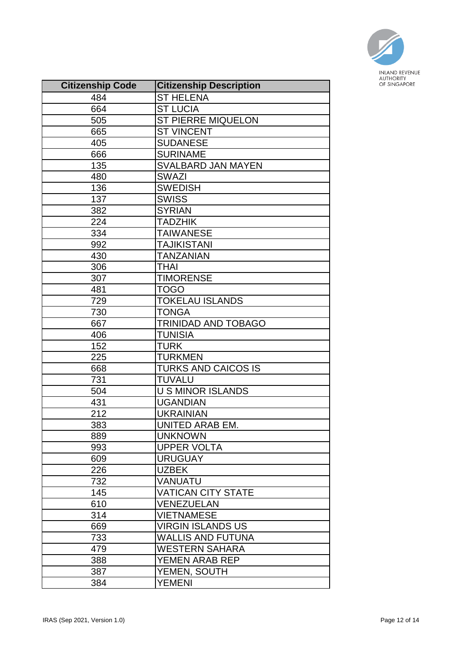

| <b>Citizenship Code</b> | <b>Citizenship Description</b> |
|-------------------------|--------------------------------|
| 484                     | <b>ST HELENA</b>               |
| 664                     | <b>ST LUCIA</b>                |
| 505                     | ST PIERRE MIQUELON             |
| 665                     | <b>ST VINCENT</b>              |
| 405                     | <b>SUDANESE</b>                |
| 666                     | <b>SURINAME</b>                |
| 135                     | <b>SVALBARD JAN MAYEN</b>      |
| 480                     | <b>SWAZI</b>                   |
| 136                     | <b>SWEDISH</b>                 |
| 137                     | <b>SWISS</b>                   |
| 382                     | <b>SYRIAN</b>                  |
| 224                     | <b>TADZHIK</b>                 |
| 334                     | <b>TAIWANESE</b>               |
| 992                     | <b>TAJIKISTANI</b>             |
| 430                     | <b>TANZANIAN</b>               |
| 306                     | THAI                           |
| 307                     | <b>TIMORENSE</b>               |
| 481                     | TOGO                           |
| 729                     | <b>TOKELAU ISLANDS</b>         |
| 730                     | <b>TONGA</b>                   |
| 667                     | TRINIDAD AND TOBAGO            |
| 406                     | <b>TUNISIA</b>                 |
| 152                     | <b>TURK</b>                    |
| 225                     | <b>TURKMEN</b>                 |
| 668                     | <b>TURKS AND CAICOS IS</b>     |
| 731                     | <b>TUVALU</b>                  |
| 504                     | <b>U S MINOR ISLANDS</b>       |
| 431                     | <b>UGANDIAN</b>                |
| 212                     | <b>UKRAINIAN</b>               |
| 383                     | UNITED ARAB EM.                |
| 889                     | <b>UNKNOWN</b>                 |
| 993                     | <b>UPPER VOLTA</b>             |
| 609                     | <b>URUGUAY</b>                 |
| 226                     | <b>UZBEK</b>                   |
| 732                     | VANUATU                        |
| 145                     | <b>VATICAN CITY STATE</b>      |
| 610                     | <b>VENEZUELAN</b>              |
| 314                     | <b>VIETNAMESE</b>              |
| 669                     | <b>VIRGIN ISLANDS US</b>       |
| 733                     | WALLIS AND FUTUNA              |
| 479                     | <b>WESTERN SAHARA</b>          |
| 388                     | YEMEN ARAB REP                 |
| 387                     | YEMEN, SOUTH                   |
| 384                     | <b>YEMENI</b>                  |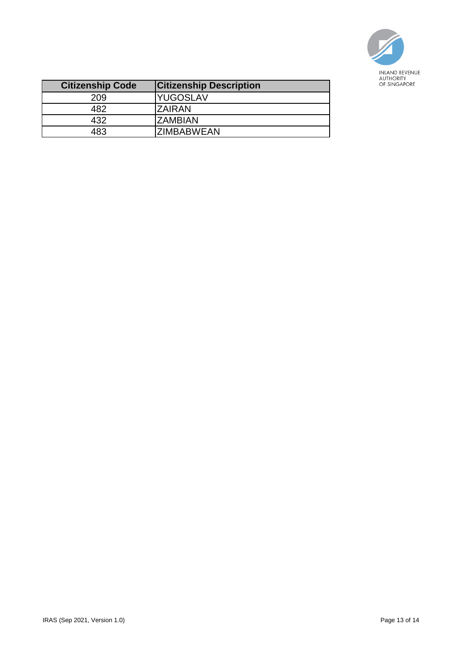

| <b>Citizenship Code</b> | <b>Citizenship Description</b> |
|-------------------------|--------------------------------|
| 209                     | <b>YUGOSLAV</b>                |
| 182                     | <b>ZAIRAN</b>                  |
| 432                     | <b>ZAMBIAN</b>                 |
| 183                     | <b>ZIMBABWEAN</b>              |